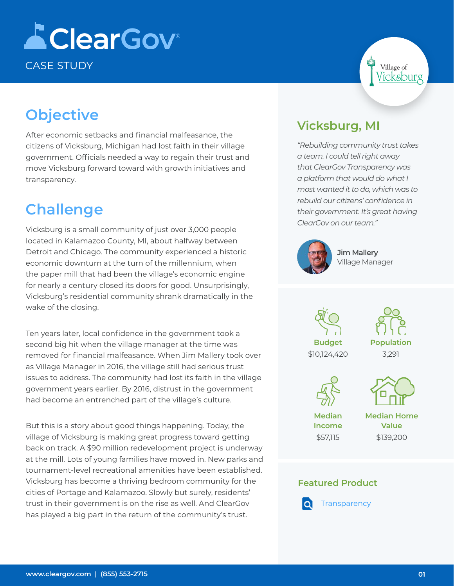# **AClearGov** CASE STUDY

## **Objective**

After economic setbacks and financial malfeasance, the citizens of Vicksburg, Michigan had lost faith in their village government. Officials needed a way to regain their trust and move Vicksburg forward toward with growth initiatives and transparency.

### **Challenge**

Vicksburg is a small community of just over 3,000 people located in Kalamazoo County, MI, about halfway between Detroit and Chicago. The community experienced a historic economic downturn at the turn of the millennium, when the paper mill that had been the village's economic engine for nearly a century closed its doors for good. Unsurprisingly, Vicksburg's residential community shrank dramatically in the wake of the closing.

Ten years later, local confidence in the government took a second big hit when the village manager at the time was removed for financial malfeasance. When Jim Mallery took over as Village Manager in 2016, the village still had serious trust issues to address. The community had lost its faith in the village government years earlier. By 2016, distrust in the government had become an entrenched part of the village's culture.

But this is a story about good things happening. Today, the village of Vicksburg is making great progress toward getting back on track. A \$90 million redevelopment project is underway at the mill. Lots of young families have moved in. New parks and tournament-level recreational amenities have been established. Vicksburg has become a thriving bedroom community for the cities of Portage and Kalamazoo. Slowly but surely, residents' trust in their government is on the rise as well. And ClearGov has played a big part in the return of the community's trust.

### **Vicksburg, MI**

*"Rebuilding community trust takes a team. I could tell right away that ClearGov Transparency was a platform that would do what I most wanted it to do, which was to rebuild our citizens' confidence in their government. It's great having ClearGov on our team."*



**Jim Mallery**  Village Manager





Village of icksburg



**Median Income** \$57,115

**Median Home Value** \$139,200

#### **Featured Product**